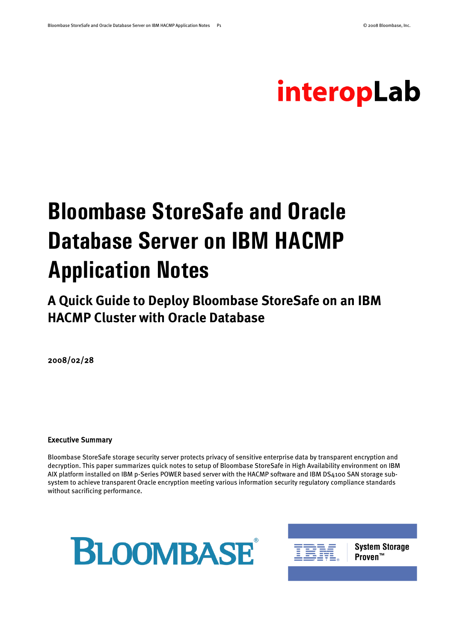# interopLab

# **Bloombase StoreSafe and Oracle Database Server on IBM HACMP Application Notes**

**A Quick Guide to Deploy Bloombase StoreSafe on an IBM HACMP Cluster with Oracle Database**

2008/02/28

#### Executive Summary

Bloombase StoreSafe storage security server protects privacy of sensitive enterprise data by transparent encryption and decryption. This paper summarizes quick notes to setup of Bloombase StoreSafe in High Availability environment on IBM AIX platform installed on IBM p-Series POWER based server with the HACMP software and IBM DS4100 SAN storage subsystem to achieve transparent Oracle encryption meeting various information security regulatory compliance standards without sacrificing performance.





**System Storage** Proven™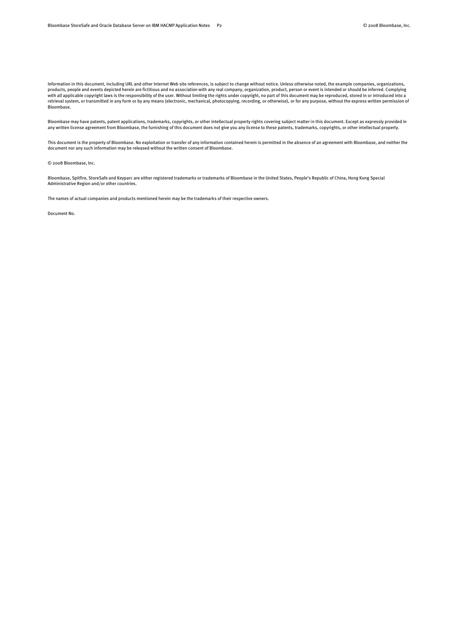Information in this document, including URL and other Internet Web site references, is subject to change without notice. Unless otherwise noted, the example companies, organizations, products, people and events depicted herein are fictitious and no association with any real company, organization, product, person or event is intended or should be inferred. Complying with all applicable copyright laws is the responsibility of the user. Without limiting the rights under copyright, no part of this document may be reproduced, stored in or introduced into a retrieval system, or transmitted in any form or by any means (electronic, mechanical, photocopying, recording, or otherwise), or for any purpose, without the express written permission of Bloombase.

Bloombase may have patents, patent applications, trademarks, copyrights, or other intellectual property rights covering subject matter in this document. Except as expressly provided in any written license agreement from Bloombase, the furnishing of this document does not give you any license to these patents, trademarks, copyrights, or other intellectual property.

This document is the property of Bloombase. No exploitation or transfer of any information contained herein is permitted in the absence of an agreement with Bloombase, and neither the document nor any such information may be released without the written consent of Bloombase.

© 2008 Bloombase, Inc.

Bloombase, Spitfire, StoreSafe and Keyparc are either registered trademarks or trademarks of Bloombase in the United States, People's Republic of China, Hong Kong Special Administrative Region and/or other countries.

The names of actual companies and products mentioned herein may be the trademarks of their respective owners.

Document No.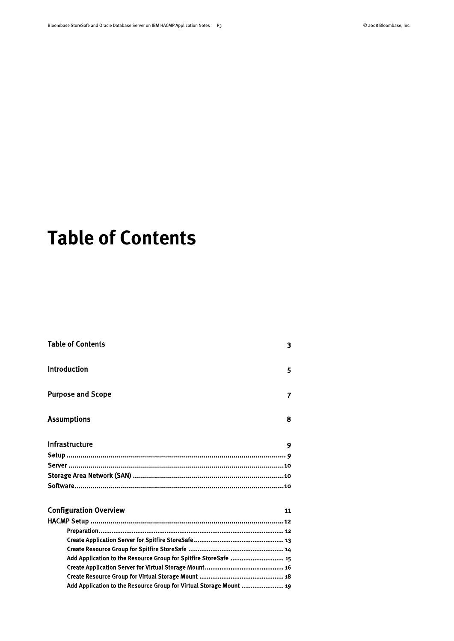# <span id="page-2-0"></span>**Table of Contents**

| <b>Table of Contents</b>                                            | 3  |
|---------------------------------------------------------------------|----|
| Introduction                                                        | 5  |
| <b>Purpose and Scope</b>                                            | 7  |
| <b>Assumptions</b>                                                  | 8  |
| Infrastructure                                                      | 9  |
|                                                                     |    |
|                                                                     |    |
|                                                                     |    |
|                                                                     |    |
| <b>Configuration Overview</b>                                       | 11 |
|                                                                     |    |
|                                                                     |    |
|                                                                     |    |
|                                                                     |    |
| Add Application to the Resource Group for Spitfire StoreSafe  15    |    |
|                                                                     |    |
| Add Application to the Resource Group for Virtual Storage Mount  19 |    |
|                                                                     |    |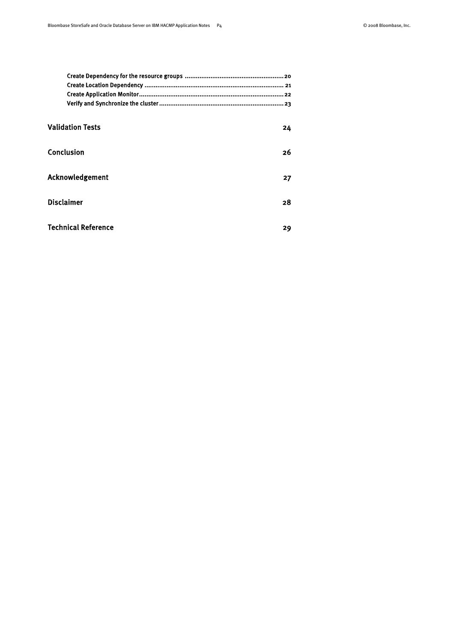| <b>Validation Tests</b>    | 24 |
|----------------------------|----|
| Conclusion                 | 26 |
| Acknowledgement            | 27 |
| <b>Disclaimer</b>          | 28 |
| <b>Technical Reference</b> | 29 |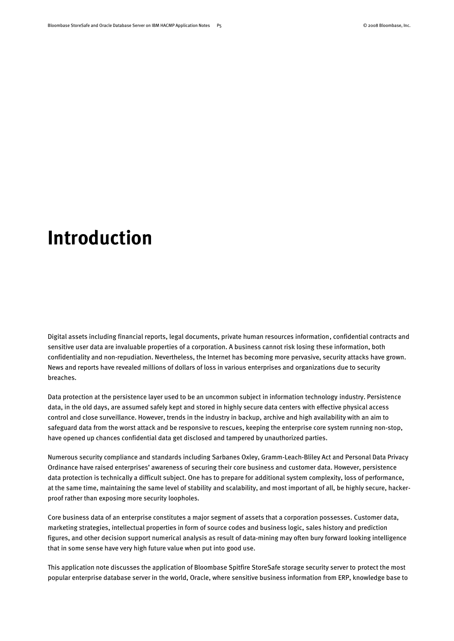# <span id="page-4-0"></span>**Introduction**

Digital assets including financial reports, legal documents, private human resources information, confidential contracts and sensitive user data are invaluable properties of a corporation. A business cannot risk losing these information, both confidentiality and non-repudiation. Nevertheless, the Internet has becoming more pervasive, security attacks have grown. News and reports have revealed millions of dollars of loss in various enterprises and organizations due to security breaches.

Data protection at the persistence layer used to be an uncommon subject in information technology industry. Persistence data, in the old days, are assumed safely kept and stored in highly secure data centers with effective physical access control and close surveillance. However, trends in the industry in backup, archive and high availability with an aim to safeguard data from the worst attack and be responsive to rescues, keeping the enterprise core system running non-stop, have opened up chances confidential data get disclosed and tampered by unauthorized parties.

Numerous security compliance and standards including Sarbanes Oxley, Gramm-Leach-Bliley Act and Personal Data Privacy Ordinance have raised enterprises' awareness of securing their core business and customer data. However, persistence data protection is technically a difficult subject. One has to prepare for additional system complexity, loss of performance, at the same time, maintaining the same level of stability and scalability, and most important of all, be highly secure, hackerproof rather than exposing more security loopholes.

Core business data of an enterprise constitutes a major segment of assets that a corporation possesses. Customer data, marketing strategies, intellectual properties in form of source codes and business logic, sales history and prediction figures, and other decision support numerical analysis as result of data-mining may often bury forward looking intelligence that in some sense have very high future value when put into good use.

This application note discusses the application of Bloombase Spitfire StoreSafe storage security server to protect the most popular enterprise database server in the world, Oracle, where sensitive business information from ERP, knowledge base to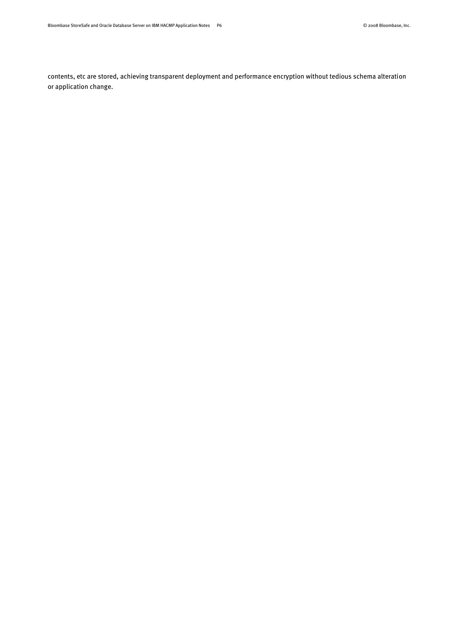contents, etc are stored, achieving transparent deployment and performance encryption without tedious schema alteration or application change.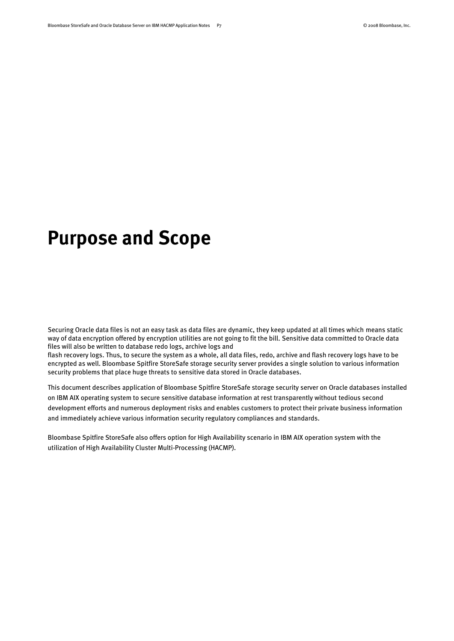# <span id="page-6-0"></span>**Purpose and Scope**

Securing Oracle data files is not an easy task as data files are dynamic, they keep updated at all times which means static way of data encryption offered by encryption utilities are not going to fit the bill. Sensitive data committed to Oracle data files will also be written to database redo logs, archive logs and

flash recovery logs. Thus, to secure the system as a whole, all data files, redo, archive and flash recovery logs have to be encrypted as well. Bloombase Spitfire StoreSafe storage security server provides a single solution to various information security problems that place huge threats to sensitive data stored in Oracle databases.

This document describes application of Bloombase Spitfire StoreSafe storage security server on Oracle databases installed on IBM AIX operating system to secure sensitive database information at rest transparently without tedious second development efforts and numerous deployment risks and enables customers to protect their private business information and immediately achieve various information security regulatory compliances and standards.

Bloombase Spitfire StoreSafe also offers option for High Availability scenario in IBM AIX operation system with the utilization of High Availability Cluster Multi-Processing (HACMP).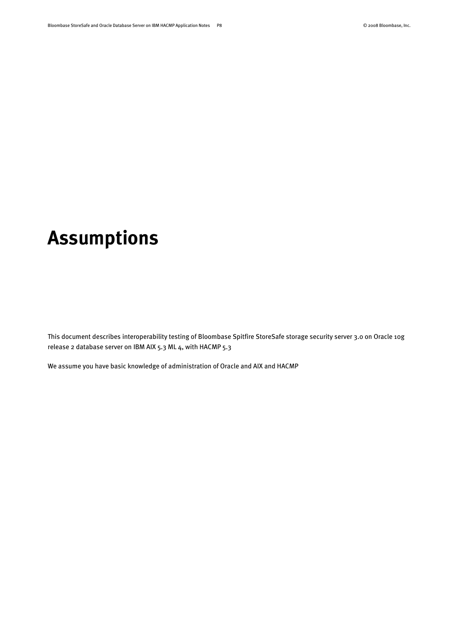# <span id="page-7-0"></span>**Assumptions**

This document describes interoperability testing of Bloombase Spitfire StoreSafe storage security server 3.0 on Oracle 10g release 2 database server on IBM AIX 5.3 ML 4, with HACMP 5.3

We assume you have basic knowledge of administration of Oracle and AIX and HACMP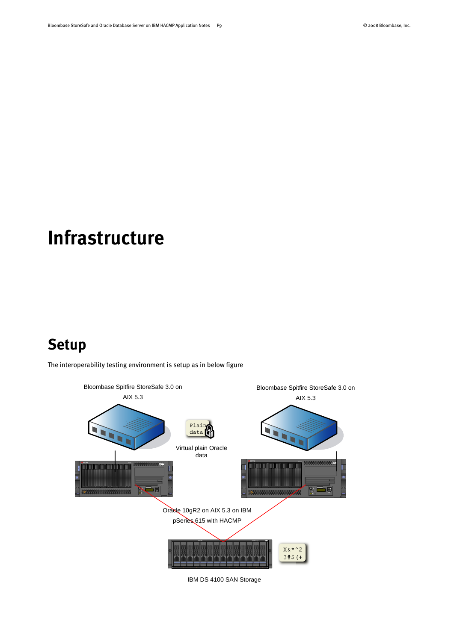# <span id="page-8-0"></span>**Infrastructure**

### <span id="page-8-1"></span>**Setup**

The interoperability testing environment is setup as in below figure



IBM DS 4100 SAN Storage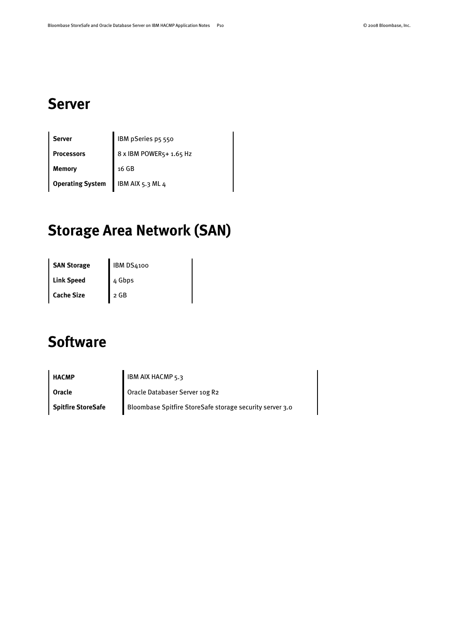### <span id="page-9-0"></span>**Server**

| Server                  | IBM pSeries p5 550      |
|-------------------------|-------------------------|
| <b>Processors</b>       | 8 x IBM POWER5+ 1.65 Hz |
| Memory                  | 16 GB                   |
| <b>Operating System</b> | IBM AIX 5.3 ML 4        |

## <span id="page-9-1"></span>**Storage Area Network (SAN)**

**SAN Storage IBM DS4100** Link Speed 4 Gbps Cache Size 2 GB

### <span id="page-9-2"></span>**Software**

**HACMP IBM AIX HACMP** 5.3 **Oracle Oracle Databaser Server 10g R2 Spitfire StoreSafe** Bloombase Spitfire StoreSafe storage security server 3.0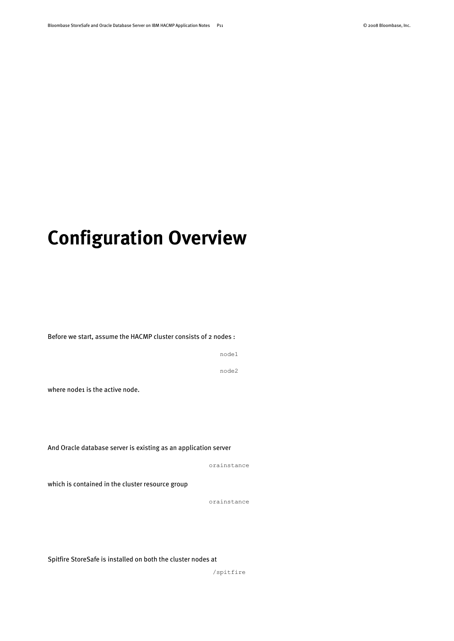# <span id="page-10-0"></span>**Configuration Overview**

Before we start, assume the HACMP cluster consists of 2 nodes :

node1

node2

where node1 is the active node.

And Oracle database server is existing as an application server

orainstance

which is contained in the cluster resource group

orainstance

Spitfire StoreSafe is installed on both the cluster nodes at

/spitfire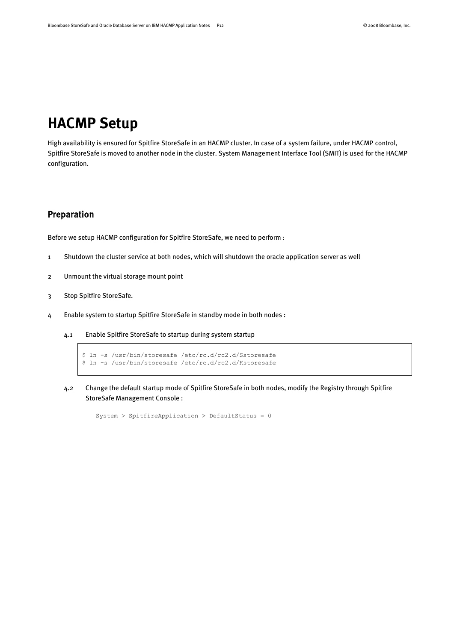### <span id="page-11-0"></span>**HACMP Setup**

High availability is ensured for Spitfire StoreSafe in an HACMP cluster. In case of a system failure, under HACMP control, Spitfire StoreSafe is moved to another node in the cluster. System Management Interface Tool (SMIT) is used for the HACMP configuration.

### <span id="page-11-1"></span>Preparation

Before we setup HACMP configuration for Spitfire StoreSafe, we need to perform :

- 1 Shutdown the cluster service at both nodes, which will shutdown the oracle application server as well
- 2 Unmount the virtual storage mount point
- 3 Stop Spitfire StoreSafe.
- 4 Enable system to startup Spitfire StoreSafe in standby mode in both nodes :
	- 4.1 Enable Spitfire StoreSafe to startup during system startup

```
$ ln -s /usr/bin/storesafe /etc/rc.d/rc2.d/Sstoresafe
$ ln -s /usr/bin/storesafe /etc/rc.d/rc2.d/Kstoresafe
```
4.2 Change the default startup mode of Spitfire StoreSafe in both nodes, modify the Registry through Spitfire StoreSafe Management Console :

```
System > SpitfireApplication > DefaultStatus = 0
```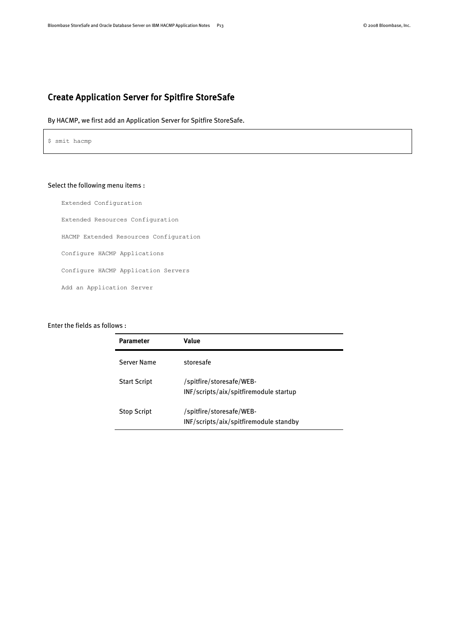### <span id="page-12-0"></span>Create Application Server for Spitfire StoreSafe

By HACMP, we first add an Application Server for Spitfire StoreSafe.

\$ smit hacmp

#### Select the following menu items :

Extended Configuration Extended Resources Configuration HACMP Extended Resources Configuration Configure HACMP Applications Configure HACMP Application Servers Add an Application Server

#### Enter the fields as follows :

| <b>Parameter</b>    | Value                                                              |
|---------------------|--------------------------------------------------------------------|
| Server Name         | storesafe                                                          |
| <b>Start Script</b> | /spitfire/storesafe/WEB-<br>INF/scripts/aix/spitfiremodule startup |
| <b>Stop Script</b>  | /spitfire/storesafe/WEB-<br>INF/scripts/aix/spitfiremodule standby |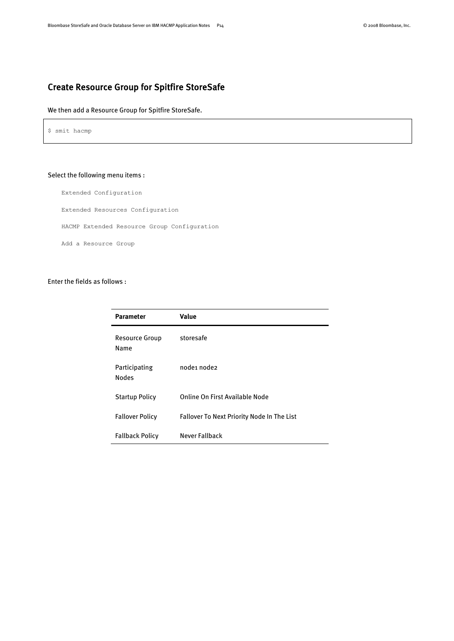### <span id="page-13-0"></span>Create Resource Group for Spitfire StoreSafe

#### We then add a Resource Group for Spitfire StoreSafe.

\$ smit hacmp

#### Select the following menu items :

Extended Configuration

Extended Resources Configuration

HACMP Extended Resource Group Configuration

Add a Resource Group

#### Enter the fields as follows :

| <b>Parameter</b>              | Value                                             |
|-------------------------------|---------------------------------------------------|
| <b>Resource Group</b><br>Name | storesafe                                         |
| Participating<br><b>Nodes</b> | node1 node2                                       |
| <b>Startup Policy</b>         | Online On First Available Node                    |
| <b>Fallover Policy</b>        | <b>Fallover To Next Priority Node In The List</b> |
| <b>Fallback Policy</b>        | Never Fallback                                    |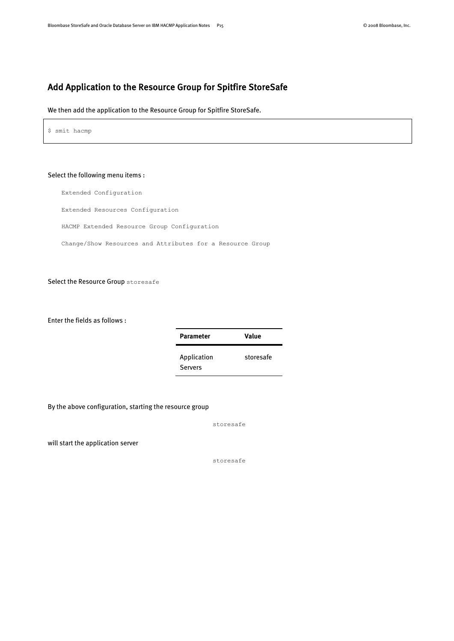### <span id="page-14-0"></span>Add Application to the Resource Group for Spitfire StoreSafe

We then add the application to the Resource Group for Spitfire StoreSafe.

\$ smit hacmp

#### Select the following menu items :

Extended Configuration

Extended Resources Configuration

HACMP Extended Resource Group Configuration

Change/Show Resources and Attributes for a Resource Group

Select the Resource Group storesafe

Enter the fields as follows :

| Parameter                     | Value     |
|-------------------------------|-----------|
| Application<br><b>Servers</b> | storesafe |

By the above configuration, starting the resource group

storesafe

will start the application server

storesafe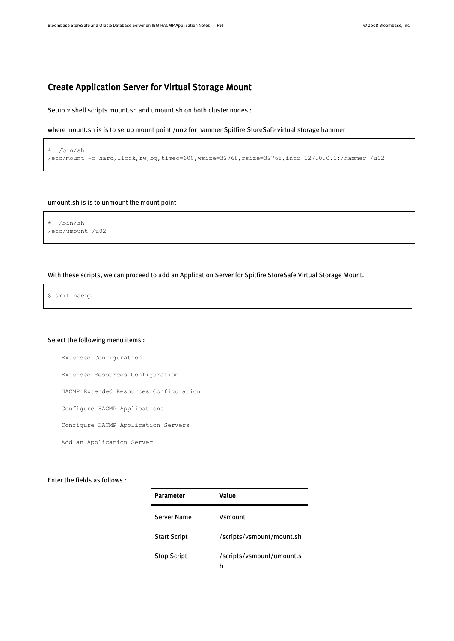### <span id="page-15-0"></span>Create Application Server for Virtual Storage Mount

Setup 2 shell scripts mount.sh and umount.sh on both cluster nodes :

where mount.sh is is to setup mount point /uo2 for hammer Spitfire StoreSafe virtual storage hammer

#### #! /bin/sh /etc/mount -o hard,llock,rw,bg,timeo=600,wsize=32768,rsize=32768,intr 127.0.0.1:/hammer /u02

#### umount.sh is is to unmount the mount point

#! /bin/sh /etc/umount /u02

#### With these scripts, we can proceed to add an Application Server for Spitfire StoreSafe Virtual Storage Mount.

\$ smit hacmp

#### Select the following menu items :

Extended Configuration

Extended Resources Configuration

HACMP Extended Resources Configuration

Configure HACMP Applications

Configure HACMP Application Servers

Add an Application Server

#### Enter the fields as follows :

| Parameter           | Value                          |
|---------------------|--------------------------------|
| Server Name         | Vsmount                        |
| <b>Start Script</b> | /scripts/vsmount/mount.sh      |
| <b>Stop Script</b>  | /scripts/vsmount/umount.s<br>h |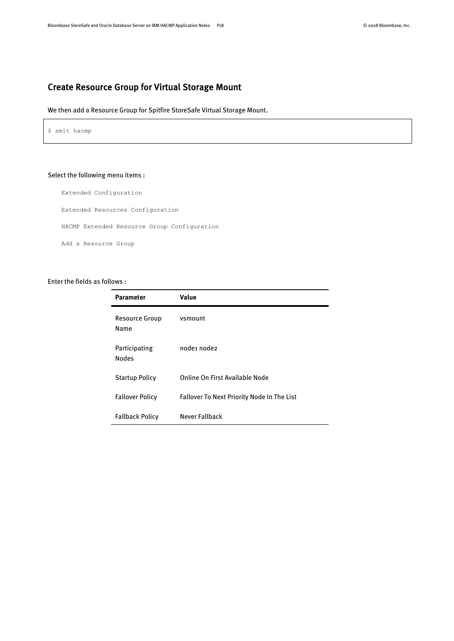### <span id="page-17-0"></span>Create Resource Group for Virtual Storage Mount

#### We then add a Resource Group for Spitfire StoreSafe Virtual Storage Mount.

\$ smit hacmp

#### Select the following menu items :

Extended Configuration

Extended Resources Configuration

HACMP Extended Resource Group Configuration

Add a Resource Group

#### Enter the fields as follows :

| <b>Parameter</b>              | Value                                             |
|-------------------------------|---------------------------------------------------|
| <b>Resource Group</b><br>Name | vsmount                                           |
| Participating<br><b>Nodes</b> | node1 node2                                       |
| <b>Startup Policy</b>         | Online On First Available Node                    |
| <b>Fallover Policy</b>        | <b>Fallover To Next Priority Node In The List</b> |
| <b>Fallback Policy</b>        | Never Fallback                                    |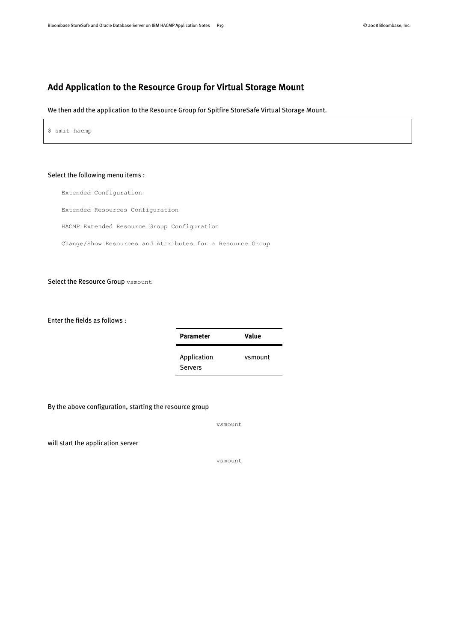### <span id="page-18-0"></span>Add Application to the Resource Group for Virtual Storage Mount

We then add the application to the Resource Group for Spitfire StoreSafe Virtual Storage Mount.

\$ smit hacmp

#### Select the following menu items :

Extended Configuration

Extended Resources Configuration

HACMP Extended Resource Group Configuration

Change/Show Resources and Attributes for a Resource Group

Select the Resource Group vsmount

Enter the fields as follows :

| <b>Parameter</b>              | Value   |
|-------------------------------|---------|
| Application<br><b>Servers</b> | vsmount |

By the above configuration, starting the resource group

vsmount

will start the application server

vsmount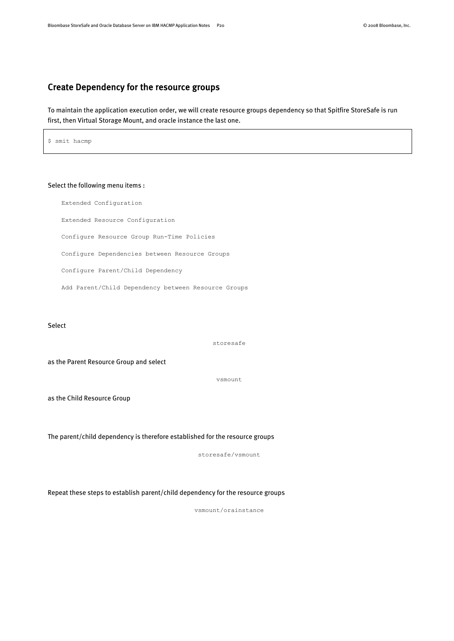### <span id="page-19-0"></span>Create Dependency for the resource groups

To maintain the application execution order, we will create resource groups dependency so that Spitfire StoreSafe is run first, then Virtual Storage Mount, and oracle instance the last one.

\$ smit hacmp

#### Select the following menu items :

Extended Configuration Extended Resource Configuration Configure Resource Group Run-Time Policies Configure Dependencies between Resource Groups Configure Parent/Child Dependency Add Parent/Child Dependency between Resource Groups

Select

storesafe

as the Parent Resource Group and select

vsmount

as the Child Resource Group

The parent/child dependency is therefore established for the resource groups

storesafe/vsmount

Repeat these steps to establish parent/child dependency for the resource groups

vsmount/orainstance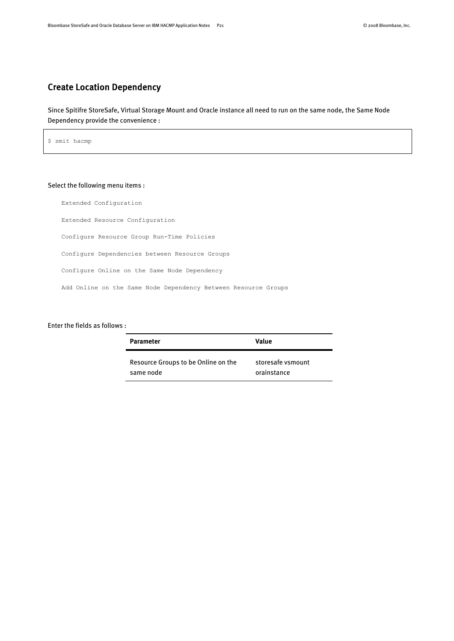### <span id="page-20-0"></span>Create Location Dependency

Since Spitifre StoreSafe, Virtual Storage Mount and Oracle instance all need to run on the same node, the Same Node Dependency provide the convenience :

\$ smit hacmp

### Select the following menu items :

Extended Configuration Extended Resource Configuration Configure Resource Group Run-Time Policies Configure Dependencies between Resource Groups Configure Online on the Same Node Dependency Add Online on the Same Node Dependency Between Resource Groups

#### Enter the fields as follows :

| <b>Parameter</b>                    | Value             |
|-------------------------------------|-------------------|
| Resource Groups to be Online on the | storesafe vsmount |
| same node                           | orainstance       |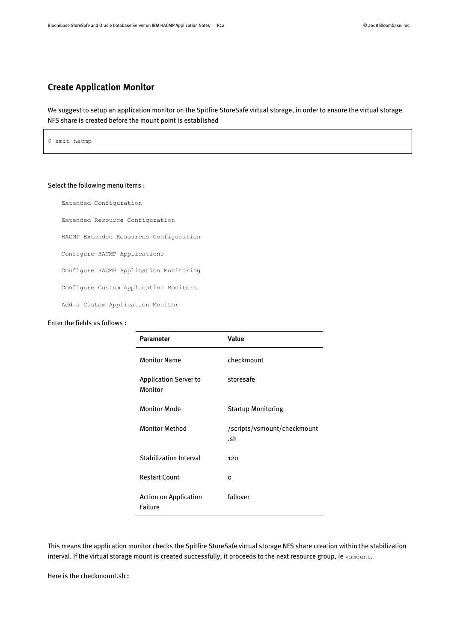### <span id="page-21-0"></span>Create Application Monitor

We suggest to setup an application monitor on the Spitfire StoreSafe virtual storage, in order to ensure the virtual storage NFS share is created before the mount point is established

\$ smit hacmp

#### Select the following menu items :

Extended Configuration

Extended Resource Configuration

HACMP Extended Resources Configuration

Configure HACMP Applications

Configure HACMP Application Monitoring

Configure Custom Application Monitors

Add a Custom Application Monitor

#### Enter the fields as follows :

| <b>Parameter</b>                        | Value                              |
|-----------------------------------------|------------------------------------|
| <b>Monitor Name</b>                     | checkmount                         |
| <b>Application Server to</b><br>Monitor | storesafe                          |
| <b>Monitor Mode</b>                     | <b>Startup Monitoring</b>          |
| <b>Monitor Method</b>                   | /scripts/vsmount/checkmount<br>.sh |
| <b>Stabilization Interval</b>           | 120                                |
| <b>Restart Count</b>                    | O                                  |
| <b>Action on Application</b><br>Failure | fallover                           |

This means the application monitor checks the Spitfire StoreSafe virtual storage NFS share creation within the stabilization interval. If the virtual storage mount is created successfully, it proceeds to the next resource group, ie vsmount.

Here is the checkmount.sh :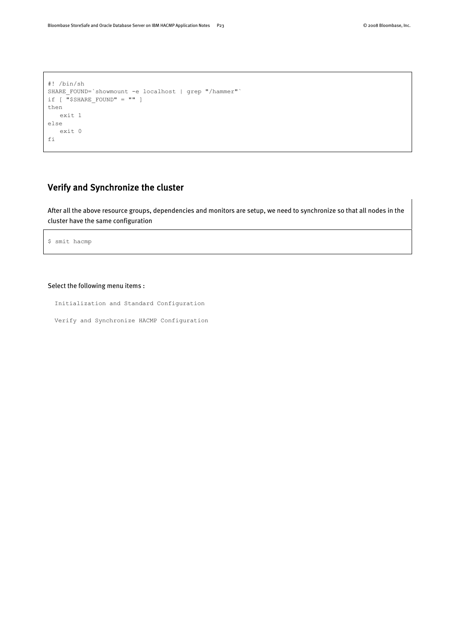```
#! /bin/sh
SHARE FOUND=`showmount -e localhost | grep "/hammer"`
if [ "$SHARE_FOUND" = "" ]
then
    exit 1
else
    exit 0
fi
```
### <span id="page-22-0"></span>Verify and Synchronize the cluster

After all the above resource groups, dependencies and monitors are setup, we need to synchronize so that all nodes in the cluster have the same configuration

```
$ smit hacmp
```
#### Select the following menu items :

Initialization and Standard Configuration

Verify and Synchronize HACMP Configuration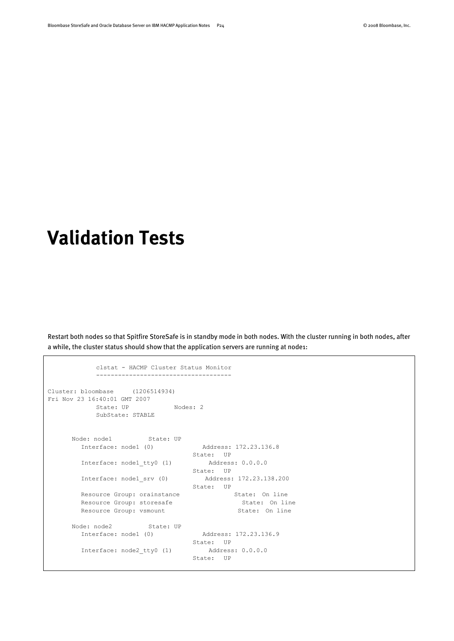# <span id="page-23-0"></span>**Validation Tests**

Restart both nodes so that Spitfire StoreSafe is in standby mode in both nodes. With the cluster running in both nodes, after a while, the cluster status should show that the application servers are running at node1:

```
 clstat - HACMP Cluster Status Monitor
          -------------------------------------
Cluster: bloombase (1206514934)
Fri Nov 23 16:40:01 GMT 2007
         State: UP Nodes: 2
          SubState: STABLE
     Node: node1 State: UP
       Interface: node1 (0) Address: 172.23.136.8
                            State: UP
      Interface: node1 tty0 (1) Address: 0.0.0.0
State: UP
 Interface: node1_srv (0) Address: 172.23.138.200
State: UP
      Resource Group: orainstance State: On line
      Resource Group: storesafe State: On line
      Resource Group: vsmount State: On line
     Node: node2 State: UP
       Interface: node1 (0) Address: 172.23.136.9
                             State: UP
      Interface: node2 tty0 (1) Address: 0.0.0.0
                              State: UP
```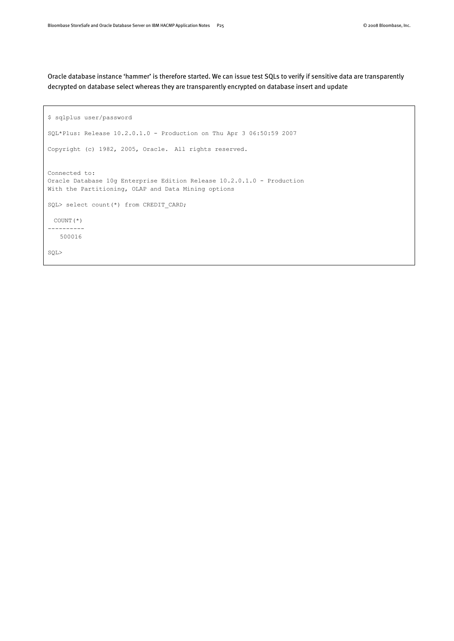Oracle database instance 'hammer' is therefore started. We can issue test SQLs to verify if sensitive data are transparently decrypted on database select whereas they are transparently encrypted on database insert and update

```
$ sqlplus user/password
SQL*Plus: Release 10.2.0.1.0 - Production on Thu Apr 3 06:50:59 2007
Copyright (c) 1982, 2005, Oracle. All rights reserved.
Connected to:
Oracle Database 10g Enterprise Edition Release 10.2.0.1.0 - Production
With the Partitioning, OLAP and Data Mining options
SQL> select count(*) from CREDIT CARD;
  COUNT(*)
----------
    500016
SQL>
```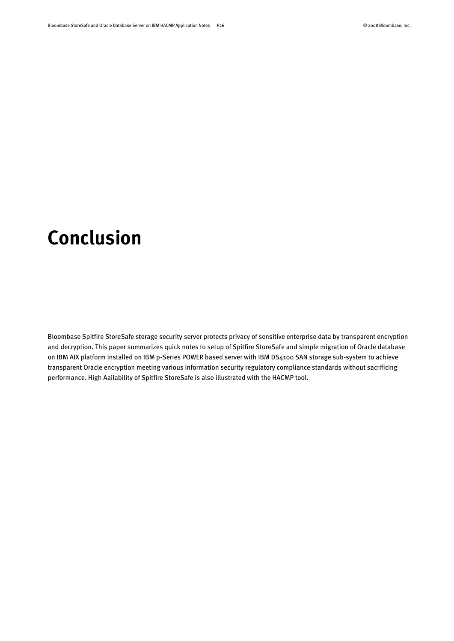# <span id="page-25-0"></span>**Conclusion**

Bloombase Spitfire StoreSafe storage security server protects privacy of sensitive enterprise data by transparent encryption and decryption. This paper summarizes quick notes to setup of Spitfire StoreSafe and simple migration of Oracle database on IBM AIX platform installed on IBM p-Series POWER based server with IBM DS4100 SAN storage sub-system to achieve transparent Oracle encryption meeting various information security regulatory compliance standards without sacrificing performance. High Aailability of Spitfire StoreSafe is also illustrated with the HACMP tool.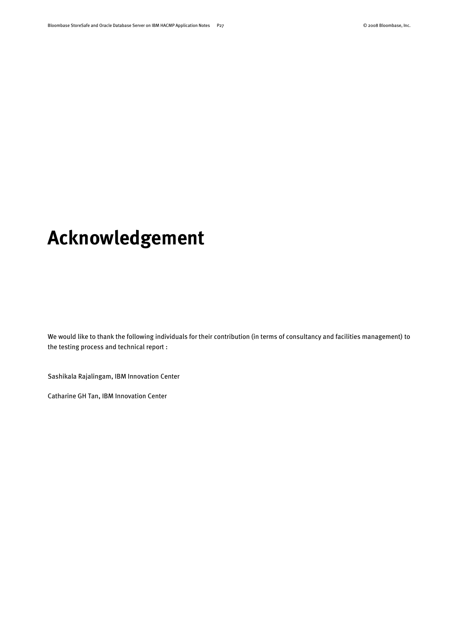# <span id="page-26-0"></span>**Acknowledgement**

We would like to thank the following individuals for their contribution (in terms of consultancy and facilities management) to the testing process and technical report :

Sashikala Rajalingam, IBM Innovation Center

Catharine GH Tan, IBM Innovation Center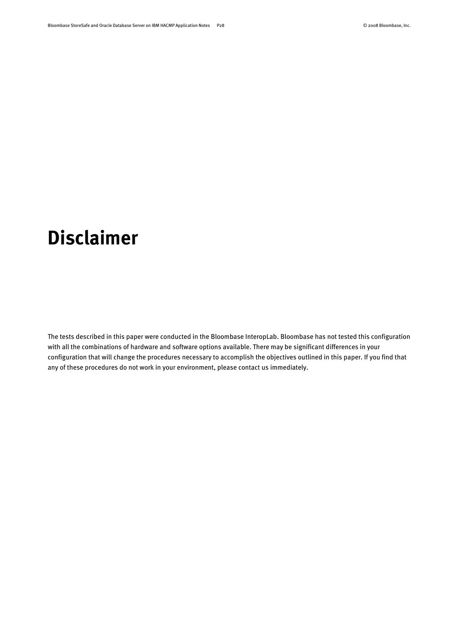# <span id="page-27-0"></span>**Disclaimer**

The tests described in this paper were conducted in the Bloombase InteropLab. Bloombase has not tested this configuration with all the combinations of hardware and software options available. There may be significant differences in your configuration that will change the procedures necessary to accomplish the objectives outlined in this paper. If you find that any of these procedures do not work in your environment, please contact us immediately.